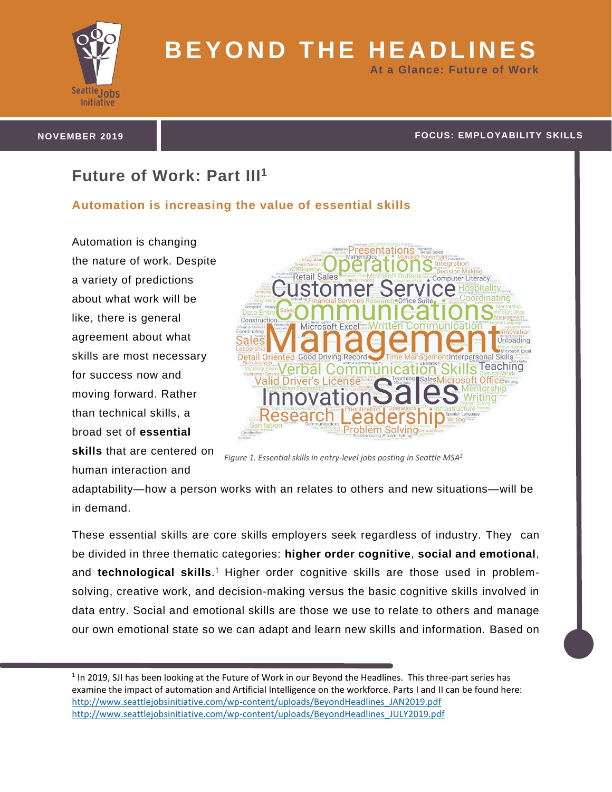

# **B E Y O N D T H E H E A D L I N E S**

**At a Glance: Future of Work**

#### **NOVEMBER 2019 FOCUS: EMPLOYABILITY SKILLS**

## **Future of Work: Part III<sup>1</sup>**

#### **Automation is increasing the value of essential skills**

Automation is changing the nature of work. Despite a variety of predictions about what work will be like, there is general agreement about what skills are most necessary for success now and moving forward. Rather than technical skills, a broad set of **essential skills** that are centered on human interaction and



*Figure 1. Essential skills in entry-level jobs posting in Seattle MSA<sup>3</sup>*

adaptability—how a person works with an relates to others and new situations—will be in demand.

These essential skills are core skills employers seek regardless of industry. They can be divided in three thematic categories: **higher order cognitive**, **social and emotional**, and technological skills.<sup>1</sup> Higher order cognitive skills are those used in problemsolving, creative work, and decision-making versus the basic cognitive skills involved in data entry. Social and emotional skills are those we use to relate to others and manage our own emotional state so we can adapt and learn new skills and information. Based on

 $<sup>1</sup>$  In 2019, SJI has been looking at the Future of Work in our Beyond the Headlines. This three-part series has</sup> examine the impact of automation and Artificial Intelligence on the workforce. Parts I and II can be found here: [http://www.seattlejobsinitiative.com/wp-content/uploads/BeyondHeadlines\\_JAN2019.pdf](http://www.seattlejobsinitiative.com/wp-content/uploads/BeyondHeadlines_JAN2019.pdf) [http://www.seattlejobsinitiative.com/wp-content/uploads/BeyondHeadlines\\_JULY2019.pdf](http://www.seattlejobsinitiative.com/wp-content/uploads/BeyondHeadlines_JULY2019.pdf)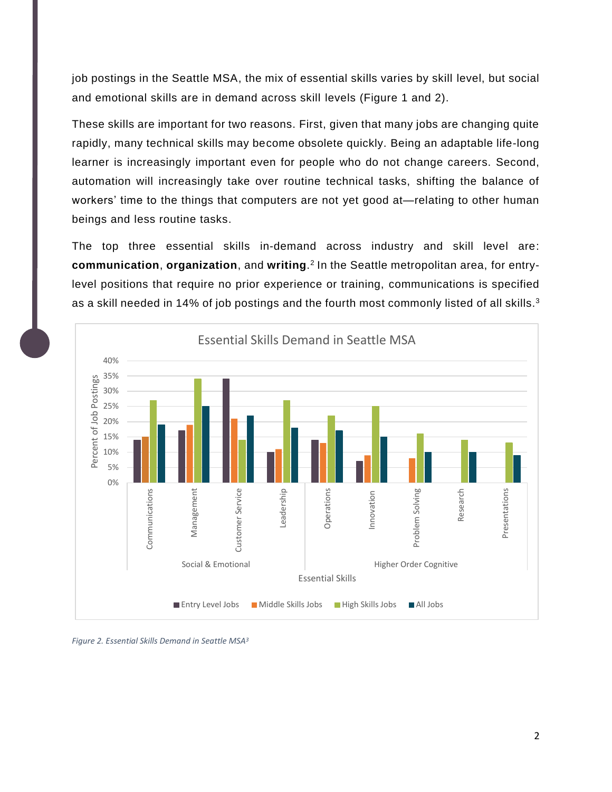job postings in the Seattle MSA, the mix of essential skills varies by skill level, but social and emotional skills are in demand across skill levels (Figure 1 and 2).

These skills are important for two reasons. First, given that many jobs are changing quite rapidly, many technical skills may become obsolete quickly. Being an adaptable life-long learner is increasingly important even for people who do not change careers. Second, automation will increasingly take over routine technical tasks, shifting the balance of workers' time to the things that computers are not yet good at—relating to other human beings and less routine tasks.

The top three essential skills in-demand across industry and skill level are: **communication**, **organization**, and **writing**. 2 In the Seattle metropolitan area, for entrylevel positions that require no prior experience or training, communications is specified as a skill needed in 14% of job postings and the fourth most commonly listed of all skills. $^3$ 



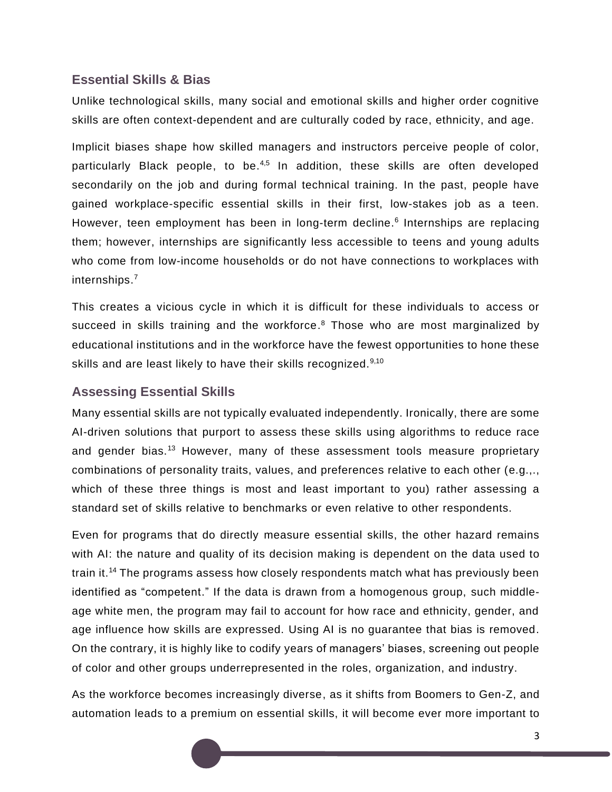#### **Essential Skills & Bias**

Unlike technological skills, many social and emotional skills and higher order cognitive skills are often context-dependent and are culturally coded by race, ethnicity, and age.

Implicit biases shape how skilled managers and instructors perceive people of color, particularly Black people, to be.<sup>4,5</sup> In addition, these skills are often developed secondarily on the job and during formal technical training. In the past, people have gained workplace-specific essential skills in their first, low-stakes job as a teen. However, teen employment has been in long-term decline.<sup>6</sup> Internships are replacing them; however, internships are significantly less accessible to teens and young adults who come from low-income households or do not have connections to workplaces with internships. 7

This creates a vicious cycle in which it is difficult for these individuals to access or succeed in skills training and the workforce.<sup>8</sup> Those who are most marginalized by educational institutions and in the workforce have the fewest opportunities to hone these skills and are least likely to have their skills recognized.<sup>9,10</sup>

### **Assessing Essential Skills**

Many essential skills are not typically evaluated independently. Ironically, there are some AI-driven solutions that purport to assess these skills using algorithms to reduce race and gender bias.<sup>13</sup> However, many of these assessment tools measure proprietary combinations of personality traits, values, and preferences relative to each other (e.g.,., which of these three things is most and least important to you) rather assessing a standard set of skills relative to benchmarks or even relative to other respondents.

Even for programs that do directly measure essential skills, the other hazard remains with AI: the nature and quality of its decision making is dependent on the data used to train it.<sup>14</sup> The programs assess how closely respondents match what has previously been identified as "competent." If the data is drawn from a homogenous group, such middleage white men, the program may fail to account for how race and ethnicity, gender, and age influence how skills are expressed. Using AI is no guarantee that bias is removed. On the contrary, it is highly like to codify years of managers' biases, screening out people of color and other groups underrepresented in the roles, organization, and industry.

As the workforce becomes increasingly diverse, as it shifts from Boomers to Gen-Z, and automation leads to a premium on essential skills, it will become ever more important to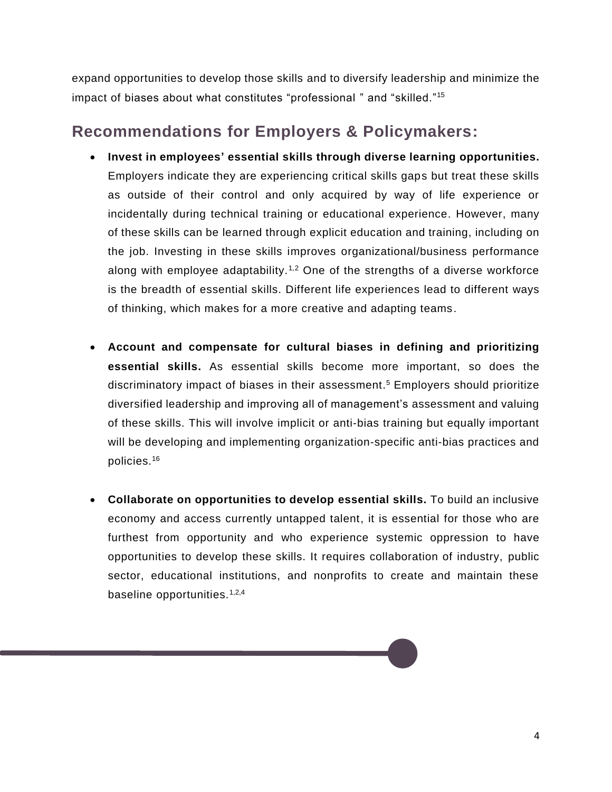expand opportunities to develop those skills and to diversify leadership and minimize the impact of biases about what constitutes "professional " and "skilled."<sup>15</sup>

## **Recommendations for Employers & Policymakers:**

- **Invest in employees' essential skills through diverse learning opportunities.**  Employers indicate they are experiencing critical skills gaps but treat these skills as outside of their control and only acquired by way of life experience or incidentally during technical training or educational experience. However, many of these skills can be learned through explicit education and training, including on the job. Investing in these skills improves organizational/business performance along with employee adaptability.<sup>1,2</sup> One of the strengths of a diverse workforce is the breadth of essential skills. Different life experiences lead to different ways of thinking, which makes for a more creative and adapting teams.
- **Account and compensate for cultural biases in defining and prioritizing essential skills.** As essential skills become more important, so does the discriminatory impact of biases in their assessment. <sup>5</sup> Employers should prioritize diversified leadership and improving all of management's assessment and valuing of these skills. This will involve implicit or anti-bias training but equally important will be developing and implementing organization-specific anti-bias practices and policies. 16
- **Collaborate on opportunities to develop essential skills.** To build an inclusive economy and access currently untapped talent, it is essential for those who are furthest from opportunity and who experience systemic oppression to have opportunities to develop these skills. It requires collaboration of industry, public sector, educational institutions, and nonprofits to create and maintain these baseline opportunities.<sup>1,2,4</sup>